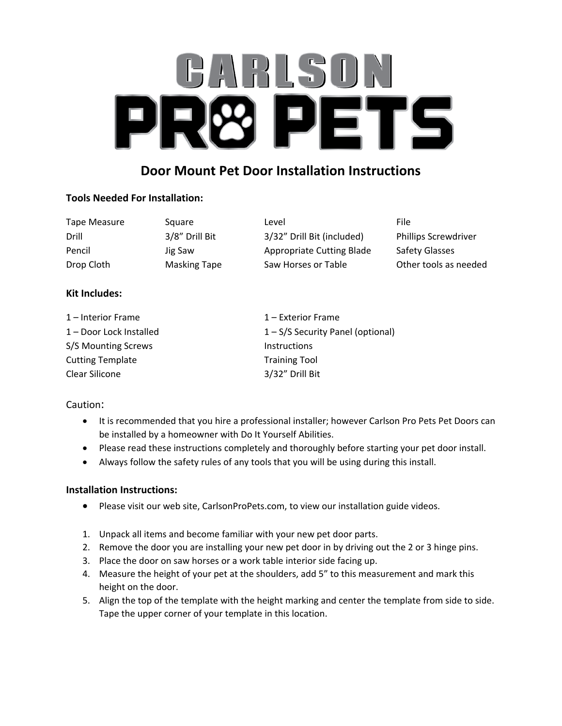# ARLSU. ETS 1

# **Door Mount Pet Door Installation Instructions**

## **Tools Needed For Installation:**

| Tape Measure | Square              | Level                      | File                        |
|--------------|---------------------|----------------------------|-----------------------------|
| Drill        | 3/8" Drill Bit      | 3/32" Drill Bit (included) | <b>Phillips Screwdriver</b> |
| Pencil       | Jig Saw             | Appropriate Cutting Blade  | Safety Glasses              |
| Drop Cloth   | <b>Masking Tape</b> | Saw Horses or Table        | Other tools as needed       |

## **Kit Includes:**

| $1$ – Interior Frame    | $1$ – Exterior Frame                |
|-------------------------|-------------------------------------|
| 1 – Door Lock Installed | $1 - S/S$ Security Panel (optional) |
| S/S Mounting Screws     | <b>Instructions</b>                 |
| <b>Cutting Template</b> | <b>Training Tool</b>                |
| Clear Silicone          | 3/32" Drill Bit                     |

#### Caution:

- It is recommended that you hire a professional installer; however Carlson Pro Pets Pet Doors can be installed by a homeowner with Do It Yourself Abilities.
- Please read these instructions completely and thoroughly before starting your pet door install.
- Always follow the safety rules of any tools that you will be using during this install.

#### **Installation Instructions:**

- Please visit our web site, CarlsonProPets.com, to view our installation guide videos.
- 1. Unpack all items and become familiar with your new pet door parts.
- 2. Remove the door you are installing your new pet door in by driving out the 2 or 3 hinge pins.
- 3. Place the door on saw horses or a work table interior side facing up.
- 4. Measure the height of your pet at the shoulders, add 5" to this measurement and mark this height on the door.
- 5. Align the top of the template with the height marking and center the template from side to side. Tape the upper corner of your template in this location.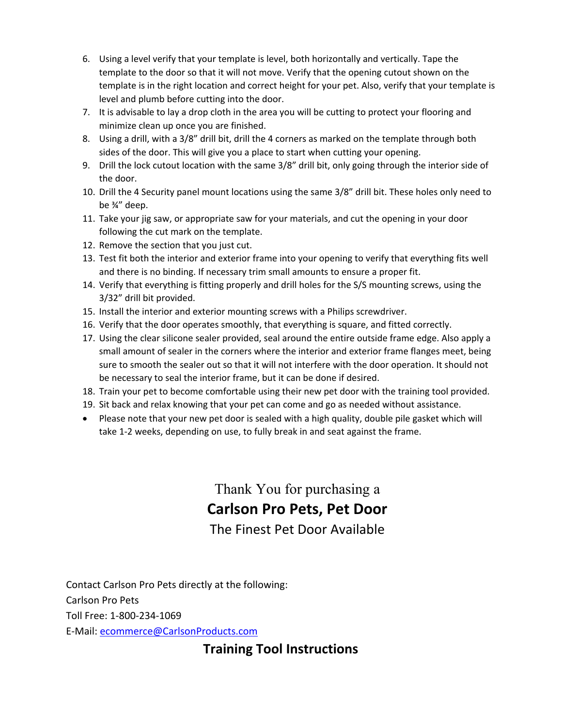- 6. Using a level verify that your template is level, both horizontally and vertically. Tape the template to the door so that it will not move. Verify that the opening cutout shown on the template is in the right location and correct height for your pet. Also, verify that your template is level and plumb before cutting into the door.
- 7. It is advisable to lay a drop cloth in the area you will be cutting to protect your flooring and minimize clean up once you are finished.
- 8. Using a drill, with a 3/8" drill bit, drill the 4 corners as marked on the template through both sides of the door. This will give you a place to start when cutting your opening.
- 9. Drill the lock cutout location with the same 3/8" drill bit, only going through the interior side of the door.
- 10. Drill the 4 Security panel mount locations using the same 3/8" drill bit. These holes only need to be ¾" deep.
- 11. Take your jig saw, or appropriate saw for your materials, and cut the opening in your door following the cut mark on the template.
- 12. Remove the section that you just cut.
- 13. Test fit both the interior and exterior frame into your opening to verify that everything fits well and there is no binding. If necessary trim small amounts to ensure a proper fit.
- 14. Verify that everything is fitting properly and drill holes for the S/S mounting screws, using the 3/32" drill bit provided.
- 15. Install the interior and exterior mounting screws with a Philips screwdriver.
- 16. Verify that the door operates smoothly, that everything is square, and fitted correctly.
- 17. Using the clear silicone sealer provided, seal around the entire outside frame edge. Also apply a small amount of sealer in the corners where the interior and exterior frame flanges meet, being sure to smooth the sealer out so that it will not interfere with the door operation. It should not be necessary to seal the interior frame, but it can be done if desired.
- 18. Train your pet to become comfortable using their new pet door with the training tool provided.
- 19. Sit back and relax knowing that your pet can come and go as needed without assistance.
- Please note that your new pet door is sealed with a high quality, double pile gasket which will take 1-2 weeks, depending on use, to fully break in and seat against the frame.

Thank You for purchasing a **Carlson Pro Pets, Pet Door** The Finest Pet Door Available

Contact Carlson Pro Pets directly at the following: Carlson Pro Pets Toll Free: 1-800-234-1069 E-Mail: [ecommerce@CarlsonProducts.com](mailto:ecommerce@carlsonproducts.com)

**Training Tool Instructions**